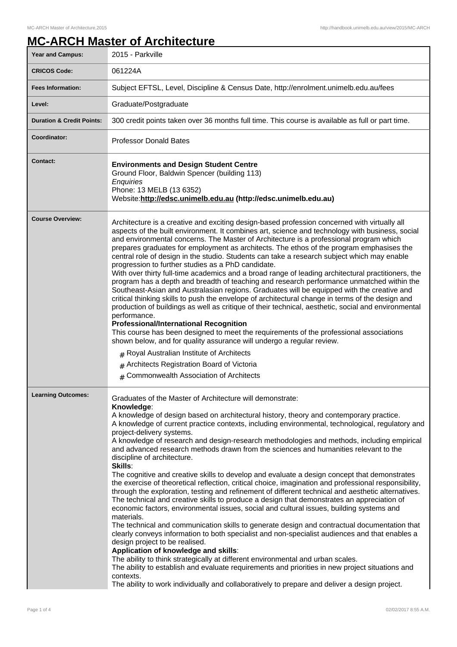## **MC-ARCH Master of Architecture**

| <b>Year and Campus:</b>              | 2015 - Parkville                                                                                                                                                                                                                                                                                                                                                                                                                                                                                                                                                                                                                                                                                                                                                                                                                                                                                                                                                                                                                                                                                                                                                                                                                                                                                                                                                                                                                                                                                                                                                                                                                           |
|--------------------------------------|--------------------------------------------------------------------------------------------------------------------------------------------------------------------------------------------------------------------------------------------------------------------------------------------------------------------------------------------------------------------------------------------------------------------------------------------------------------------------------------------------------------------------------------------------------------------------------------------------------------------------------------------------------------------------------------------------------------------------------------------------------------------------------------------------------------------------------------------------------------------------------------------------------------------------------------------------------------------------------------------------------------------------------------------------------------------------------------------------------------------------------------------------------------------------------------------------------------------------------------------------------------------------------------------------------------------------------------------------------------------------------------------------------------------------------------------------------------------------------------------------------------------------------------------------------------------------------------------------------------------------------------------|
| <b>CRICOS Code:</b>                  | 061224A                                                                                                                                                                                                                                                                                                                                                                                                                                                                                                                                                                                                                                                                                                                                                                                                                                                                                                                                                                                                                                                                                                                                                                                                                                                                                                                                                                                                                                                                                                                                                                                                                                    |
| <b>Fees Information:</b>             | Subject EFTSL, Level, Discipline & Census Date, http://enrolment.unimelb.edu.au/fees                                                                                                                                                                                                                                                                                                                                                                                                                                                                                                                                                                                                                                                                                                                                                                                                                                                                                                                                                                                                                                                                                                                                                                                                                                                                                                                                                                                                                                                                                                                                                       |
| Level:                               | Graduate/Postgraduate                                                                                                                                                                                                                                                                                                                                                                                                                                                                                                                                                                                                                                                                                                                                                                                                                                                                                                                                                                                                                                                                                                                                                                                                                                                                                                                                                                                                                                                                                                                                                                                                                      |
| <b>Duration &amp; Credit Points:</b> | 300 credit points taken over 36 months full time. This course is available as full or part time.                                                                                                                                                                                                                                                                                                                                                                                                                                                                                                                                                                                                                                                                                                                                                                                                                                                                                                                                                                                                                                                                                                                                                                                                                                                                                                                                                                                                                                                                                                                                           |
| Coordinator:                         | <b>Professor Donald Bates</b>                                                                                                                                                                                                                                                                                                                                                                                                                                                                                                                                                                                                                                                                                                                                                                                                                                                                                                                                                                                                                                                                                                                                                                                                                                                                                                                                                                                                                                                                                                                                                                                                              |
| Contact:                             | <b>Environments and Design Student Centre</b><br>Ground Floor, Baldwin Spencer (building 113)<br>Enquiries<br>Phone: 13 MELB (13 6352)<br>Website:http://edsc.unimelb.edu.au (http://edsc.unimelb.edu.au)                                                                                                                                                                                                                                                                                                                                                                                                                                                                                                                                                                                                                                                                                                                                                                                                                                                                                                                                                                                                                                                                                                                                                                                                                                                                                                                                                                                                                                  |
| <b>Course Overview:</b>              | Architecture is a creative and exciting design-based profession concerned with virtually all<br>aspects of the built environment. It combines art, science and technology with business, social<br>and environmental concerns. The Master of Architecture is a professional program which<br>prepares graduates for employment as architects. The ethos of the program emphasises the<br>central role of design in the studio. Students can take a research subject which may enable<br>progression to further studies as a PhD candidate.<br>With over thirty full-time academics and a broad range of leading architectural practitioners, the<br>program has a depth and breadth of teaching and research performance unmatched within the<br>Southeast-Asian and Australasian regions. Graduates will be equipped with the creative and<br>critical thinking skills to push the envelope of architectural change in terms of the design and<br>production of buildings as well as critique of their technical, aesthetic, social and environmental<br>performance.<br><b>Professional/International Recognition</b><br>This course has been designed to meet the requirements of the professional associations<br>shown below, and for quality assurance will undergo a regular review.<br>$#$ Royal Australian Institute of Architects<br>Architects Registration Board of Victoria<br><b>Commonwealth Association of Architects</b><br>#                                                                                                                                                                                             |
| <b>Learning Outcomes:</b>            | Graduates of the Master of Architecture will demonstrate:<br>Knowledge:<br>A knowledge of design based on architectural history, theory and contemporary practice.<br>A knowledge of current practice contexts, including environmental, technological, regulatory and<br>project-delivery systems.<br>A knowledge of research and design-research methodologies and methods, including empirical<br>and advanced research methods drawn from the sciences and humanities relevant to the<br>discipline of architecture.<br>Skills:<br>The cognitive and creative skills to develop and evaluate a design concept that demonstrates<br>the exercise of theoretical reflection, critical choice, imagination and professional responsibility,<br>through the exploration, testing and refinement of different technical and aesthetic alternatives.<br>The technical and creative skills to produce a design that demonstrates an appreciation of<br>economic factors, environmental issues, social and cultural issues, building systems and<br>materials.<br>The technical and communication skills to generate design and contractual documentation that<br>clearly conveys information to both specialist and non-specialist audiences and that enables a<br>design project to be realised.<br>Application of knowledge and skills:<br>The ability to think strategically at different environmental and urban scales.<br>The ability to establish and evaluate requirements and priorities in new project situations and<br>contexts.<br>The ability to work individually and collaboratively to prepare and deliver a design project. |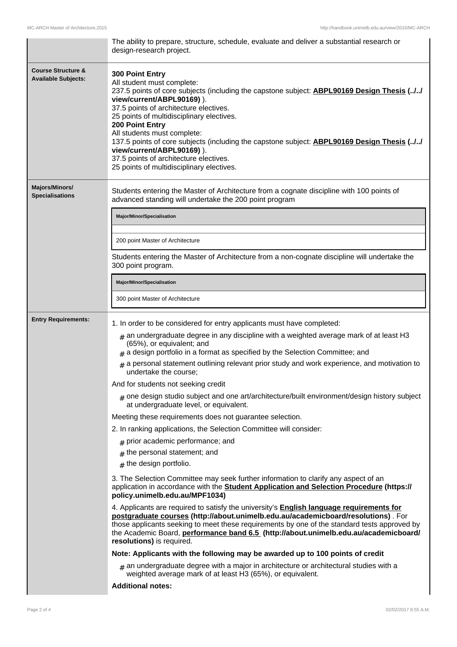|                                                             | The ability to prepare, structure, schedule, evaluate and deliver a substantial research or<br>design-research project.                                                                                                                                                                                                                                                                                                                                                                                                                                                                                                                                                                                                                                                                                                                                                                                                                                                                                                                                                                                                                                                                                                                                                                                                                                                                                                                                                                                                                                                                                                                                                    |
|-------------------------------------------------------------|----------------------------------------------------------------------------------------------------------------------------------------------------------------------------------------------------------------------------------------------------------------------------------------------------------------------------------------------------------------------------------------------------------------------------------------------------------------------------------------------------------------------------------------------------------------------------------------------------------------------------------------------------------------------------------------------------------------------------------------------------------------------------------------------------------------------------------------------------------------------------------------------------------------------------------------------------------------------------------------------------------------------------------------------------------------------------------------------------------------------------------------------------------------------------------------------------------------------------------------------------------------------------------------------------------------------------------------------------------------------------------------------------------------------------------------------------------------------------------------------------------------------------------------------------------------------------------------------------------------------------------------------------------------------------|
| <b>Course Structure &amp;</b><br><b>Available Subjects:</b> | 300 Point Entry<br>All student must complete:<br>237.5 points of core subjects (including the capstone subject: <b>ABPL90169 Design Thesis (//</b><br>view/current/ABPL90169)).<br>37.5 points of architecture electives.<br>25 points of multidisciplinary electives.<br>200 Point Entry<br>All students must complete:<br>137.5 points of core subjects (including the capstone subject: <b>ABPL90169 Design Thesis (//</b><br>view/current/ABPL90169)).<br>37.5 points of architecture electives.<br>25 points of multidisciplinary electives.                                                                                                                                                                                                                                                                                                                                                                                                                                                                                                                                                                                                                                                                                                                                                                                                                                                                                                                                                                                                                                                                                                                          |
| <b>Majors/Minors/</b><br><b>Specialisations</b>             | Students entering the Master of Architecture from a cognate discipline with 100 points of<br>advanced standing will undertake the 200 point program                                                                                                                                                                                                                                                                                                                                                                                                                                                                                                                                                                                                                                                                                                                                                                                                                                                                                                                                                                                                                                                                                                                                                                                                                                                                                                                                                                                                                                                                                                                        |
|                                                             | Major/Minor/Specialisation                                                                                                                                                                                                                                                                                                                                                                                                                                                                                                                                                                                                                                                                                                                                                                                                                                                                                                                                                                                                                                                                                                                                                                                                                                                                                                                                                                                                                                                                                                                                                                                                                                                 |
|                                                             | 200 point Master of Architecture                                                                                                                                                                                                                                                                                                                                                                                                                                                                                                                                                                                                                                                                                                                                                                                                                                                                                                                                                                                                                                                                                                                                                                                                                                                                                                                                                                                                                                                                                                                                                                                                                                           |
|                                                             | Students entering the Master of Architecture from a non-cognate discipline will undertake the<br>300 point program.                                                                                                                                                                                                                                                                                                                                                                                                                                                                                                                                                                                                                                                                                                                                                                                                                                                                                                                                                                                                                                                                                                                                                                                                                                                                                                                                                                                                                                                                                                                                                        |
|                                                             | Major/Minor/Specialisation                                                                                                                                                                                                                                                                                                                                                                                                                                                                                                                                                                                                                                                                                                                                                                                                                                                                                                                                                                                                                                                                                                                                                                                                                                                                                                                                                                                                                                                                                                                                                                                                                                                 |
|                                                             | 300 point Master of Architecture                                                                                                                                                                                                                                                                                                                                                                                                                                                                                                                                                                                                                                                                                                                                                                                                                                                                                                                                                                                                                                                                                                                                                                                                                                                                                                                                                                                                                                                                                                                                                                                                                                           |
| <b>Entry Requirements:</b>                                  | 1. In order to be considered for entry applicants must have completed:<br>$#$ an undergraduate degree in any discipline with a weighted average mark of at least H3<br>(65%), or equivalent; and<br>$#$ a design portfolio in a format as specified by the Selection Committee; and<br>$#$ a personal statement outlining relevant prior study and work experience, and motivation to<br>undertake the course;<br>And for students not seeking credit<br>$_{\text{\#}}$ one design studio subject and one art/architecture/built environment/design history subject<br>at undergraduate level, or equivalent.<br>Meeting these requirements does not guarantee selection.<br>2. In ranking applications, the Selection Committee will consider:<br>$#$ prior academic performance; and<br>$#$ the personal statement; and<br>$#$ the design portfolio.<br>3. The Selection Committee may seek further information to clarify any aspect of an<br>application in accordance with the Student Application and Selection Procedure (https://<br>policy.unimelb.edu.au/MPF1034)<br>4. Applicants are required to satisfy the university's <b>English language requirements for</b><br>postgraduate courses (http://about.unimelb.edu.au/academicboard/resolutions) . For<br>those applicants seeking to meet these requirements by one of the standard tests approved by<br>the Academic Board, performance band 6.5 (http://about.unimelb.edu.au/academicboard/<br>resolutions) is required.<br>Note: Applicants with the following may be awarded up to 100 points of credit<br>$_{\#}$ an undergraduate degree with a major in architecture or architectural studies with a |
|                                                             | weighted average mark of at least H3 (65%), or equivalent.                                                                                                                                                                                                                                                                                                                                                                                                                                                                                                                                                                                                                                                                                                                                                                                                                                                                                                                                                                                                                                                                                                                                                                                                                                                                                                                                                                                                                                                                                                                                                                                                                 |
|                                                             | <b>Additional notes:</b>                                                                                                                                                                                                                                                                                                                                                                                                                                                                                                                                                                                                                                                                                                                                                                                                                                                                                                                                                                                                                                                                                                                                                                                                                                                                                                                                                                                                                                                                                                                                                                                                                                                   |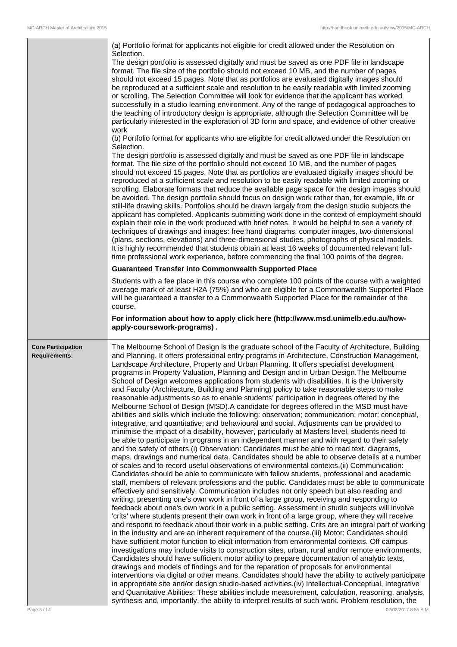|                                                                  | (a) Portfolio format for applicants not eligible for credit allowed under the Resolution on<br>Selection.                                                                                                                                                                                                                                                                                                                                                                                                                                                                                                                                                                                                                                                                                                                                                                                                                                                                                                                                                                                                                                                                                                                                                                                                                                                                                                                                                                                                                                                                                                                                                                                                                                                                                                                                                                                                                                                                                                                                                                                                                                                                                                                                                                                                                                                                                                                                                                                                                                                                                                                                                                                                                                                                                                                                                                                                                                                                                                                                                                                                        |
|------------------------------------------------------------------|------------------------------------------------------------------------------------------------------------------------------------------------------------------------------------------------------------------------------------------------------------------------------------------------------------------------------------------------------------------------------------------------------------------------------------------------------------------------------------------------------------------------------------------------------------------------------------------------------------------------------------------------------------------------------------------------------------------------------------------------------------------------------------------------------------------------------------------------------------------------------------------------------------------------------------------------------------------------------------------------------------------------------------------------------------------------------------------------------------------------------------------------------------------------------------------------------------------------------------------------------------------------------------------------------------------------------------------------------------------------------------------------------------------------------------------------------------------------------------------------------------------------------------------------------------------------------------------------------------------------------------------------------------------------------------------------------------------------------------------------------------------------------------------------------------------------------------------------------------------------------------------------------------------------------------------------------------------------------------------------------------------------------------------------------------------------------------------------------------------------------------------------------------------------------------------------------------------------------------------------------------------------------------------------------------------------------------------------------------------------------------------------------------------------------------------------------------------------------------------------------------------------------------------------------------------------------------------------------------------------------------------------------------------------------------------------------------------------------------------------------------------------------------------------------------------------------------------------------------------------------------------------------------------------------------------------------------------------------------------------------------------------------------------------------------------------------------------------------------------|
|                                                                  | The design portfolio is assessed digitally and must be saved as one PDF file in landscape<br>format. The file size of the portfolio should not exceed 10 MB, and the number of pages<br>should not exceed 15 pages. Note that as portfolios are evaluated digitally images should<br>be reproduced at a sufficient scale and resolution to be easily readable with limited zooming<br>or scrolling. The Selection Committee will look for evidence that the applicant has worked<br>successfully in a studio learning environment. Any of the range of pedagogical approaches to<br>the teaching of introductory design is appropriate, although the Selection Committee will be<br>particularly interested in the exploration of 3D form and space, and evidence of other creative<br>work<br>(b) Portfolio format for applicants who are eligible for credit allowed under the Resolution on<br>Selection.<br>The design portfolio is assessed digitally and must be saved as one PDF file in landscape<br>format. The file size of the portfolio should not exceed 10 MB, and the number of pages<br>should not exceed 15 pages. Note that as portfolios are evaluated digitally images should be<br>reproduced at a sufficient scale and resolution to be easily readable with limited zooming or<br>scrolling. Elaborate formats that reduce the available page space for the design images should<br>be avoided. The design portfolio should focus on design work rather than, for example, life or<br>still-life drawing skills. Portfolios should be drawn largely from the design studio subjects the<br>applicant has completed. Applicants submitting work done in the context of employment should<br>explain their role in the work produced with brief notes. It would be helpful to see a variety of<br>techniques of drawings and images: free hand diagrams, computer images, two-dimensional<br>(plans, sections, elevations) and three-dimensional studies, photographs of physical models.<br>It is highly recommended that students obtain at least 16 weeks of documented relevant full-                                                                                                                                                                                                                                                                                                                                                                                                                                                                                                                                                                                                                                                                                                                                                                                                                                                                                                                                                                                                   |
|                                                                  | time professional work experience, before commencing the final 100 points of the degree.                                                                                                                                                                                                                                                                                                                                                                                                                                                                                                                                                                                                                                                                                                                                                                                                                                                                                                                                                                                                                                                                                                                                                                                                                                                                                                                                                                                                                                                                                                                                                                                                                                                                                                                                                                                                                                                                                                                                                                                                                                                                                                                                                                                                                                                                                                                                                                                                                                                                                                                                                                                                                                                                                                                                                                                                                                                                                                                                                                                                                         |
|                                                                  | <b>Guaranteed Transfer into Commonwealth Supported Place</b>                                                                                                                                                                                                                                                                                                                                                                                                                                                                                                                                                                                                                                                                                                                                                                                                                                                                                                                                                                                                                                                                                                                                                                                                                                                                                                                                                                                                                                                                                                                                                                                                                                                                                                                                                                                                                                                                                                                                                                                                                                                                                                                                                                                                                                                                                                                                                                                                                                                                                                                                                                                                                                                                                                                                                                                                                                                                                                                                                                                                                                                     |
|                                                                  | Students with a fee place in this course who complete 100 points of the course with a weighted<br>average mark of at least H2A (75%) and who are eligible for a Commonwealth Supported Place<br>will be guaranteed a transfer to a Commonwealth Supported Place for the remainder of the<br>course.                                                                                                                                                                                                                                                                                                                                                                                                                                                                                                                                                                                                                                                                                                                                                                                                                                                                                                                                                                                                                                                                                                                                                                                                                                                                                                                                                                                                                                                                                                                                                                                                                                                                                                                                                                                                                                                                                                                                                                                                                                                                                                                                                                                                                                                                                                                                                                                                                                                                                                                                                                                                                                                                                                                                                                                                              |
|                                                                  | For information about how to apply click here (http://www.msd.unimelb.edu.au/how-<br>apply-coursework-programs).                                                                                                                                                                                                                                                                                                                                                                                                                                                                                                                                                                                                                                                                                                                                                                                                                                                                                                                                                                                                                                                                                                                                                                                                                                                                                                                                                                                                                                                                                                                                                                                                                                                                                                                                                                                                                                                                                                                                                                                                                                                                                                                                                                                                                                                                                                                                                                                                                                                                                                                                                                                                                                                                                                                                                                                                                                                                                                                                                                                                 |
| <b>Core Participation</b><br><b>Requirements:</b><br>Page 3 of 4 | The Melbourne School of Design is the graduate school of the Faculty of Architecture, Building<br>and Planning. It offers professional entry programs in Architecture, Construction Management,<br>Landscape Architecture, Property and Urban Planning. It offers specialist development<br>programs in Property Valuation, Planning and Design and in Urban Design. The Melbourne<br>School of Design welcomes applications from students with disabilities. It is the University<br>and Faculty (Architecture, Building and Planning) policy to take reasonable steps to make<br>reasonable adjustments so as to enable students' participation in degrees offered by the<br>Melbourne School of Design (MSD).A candidate for degrees offered in the MSD must have<br>abilities and skills which include the following: observation; communication; motor; conceptual,<br>integrative, and quantitative; and behavioural and social. Adjustments can be provided to<br>minimise the impact of a disability, however, particularly at Masters level, students need to<br>be able to participate in programs in an independent manner and with regard to their safety<br>and the safety of others.(i) Observation: Candidates must be able to read text, diagrams,<br>maps, drawings and numerical data. Candidates should be able to observe details at a number<br>of scales and to record useful observations of environmental contexts.(ii) Communication:<br>Candidates should be able to communicate with fellow students, professional and academic<br>staff, members of relevant professions and the public. Candidates must be able to communicate<br>effectively and sensitively. Communication includes not only speech but also reading and<br>writing, presenting one's own work in front of a large group, receiving and responding to<br>feedback about one's own work in a public setting. Assessment in studio subjects will involve<br>'crits' where students present their own work in front of a large group, where they will receive<br>and respond to feedback about their work in a public setting. Crits are an integral part of working<br>in the industry and are an inherent requirement of the course.(iii) Motor: Candidates should<br>have sufficient motor function to elicit information from environmental contexts. Off campus<br>investigations may include visits to construction sites, urban, rural and/or remote environments.<br>Candidates should have sufficient motor ability to prepare documentation of analytic texts,<br>drawings and models of findings and for the reparation of proposals for environmental<br>interventions via digital or other means. Candidates should have the ability to actively participate<br>in appropriate site and/or design studio-based activities.(iv) Intellectual-Conceptual, Integrative<br>and Quantitative Abilities: These abilities include measurement, calculation, reasoning, analysis,<br>synthesis and, importantly, the ability to interpret results of such work. Problem resolution, the<br>02/02/2017 8:55 A.M. |